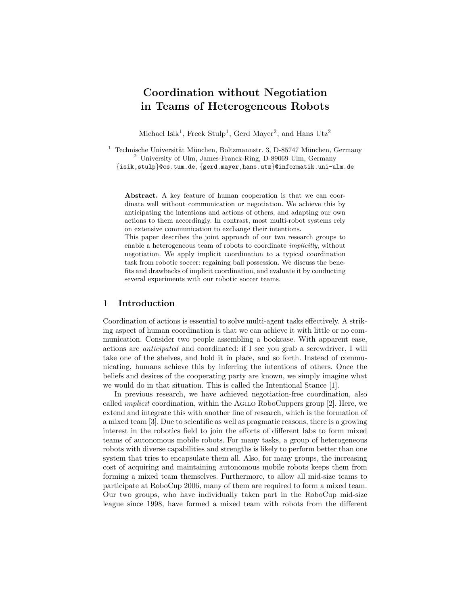# Coordination without Negotiation in Teams of Heterogeneous Robots

Michael Isik<sup>1</sup>, Freek Stulp<sup>1</sup>, Gerd Mayer<sup>2</sup>, and Hans Utz<sup>2</sup>

 $1$  Technische Universität München, Boltzmannstr. 3, D-85747 München, Germany <sup>2</sup> University of Ulm, James-Franck-Ring, D-89069 Ulm, Germany {isik,stulp}@cs.tum.de, {gerd.mayer,hans.utz}@informatik.uni-ulm.de

Abstract. A key feature of human cooperation is that we can coordinate well without communication or negotiation. We achieve this by anticipating the intentions and actions of others, and adapting our own actions to them accordingly. In contrast, most multi-robot systems rely on extensive communication to exchange their intentions.

This paper describes the joint approach of our two research groups to enable a heterogeneous team of robots to coordinate implicitly, without negotiation. We apply implicit coordination to a typical coordination task from robotic soccer: regaining ball possession. We discuss the benefits and drawbacks of implicit coordination, and evaluate it by conducting several experiments with our robotic soccer teams.

### 1 Introduction

Coordination of actions is essential to solve multi-agent tasks effectively. A striking aspect of human coordination is that we can achieve it with little or no communication. Consider two people assembling a bookcase. With apparent ease, actions are anticipated and coordinated: if I see you grab a screwdriver, I will take one of the shelves, and hold it in place, and so forth. Instead of communicating, humans achieve this by inferring the intentions of others. Once the beliefs and desires of the cooperating party are known, we simply imagine what we would do in that situation. This is called the Intentional Stance [1].

In previous research, we have achieved negotiation-free coordination, also called implicit coordination, within the Agilo RoboCuppers group [2]. Here, we extend and integrate this with another line of research, which is the formation of a mixed team [3]. Due to scientific as well as pragmatic reasons, there is a growing interest in the robotics field to join the efforts of different labs to form mixed teams of autonomous mobile robots. For many tasks, a group of heterogeneous robots with diverse capabilities and strengths is likely to perform better than one system that tries to encapsulate them all. Also, for many groups, the increasing cost of acquiring and maintaining autonomous mobile robots keeps them from forming a mixed team themselves. Furthermore, to allow all mid-size teams to participate at RoboCup 2006, many of them are required to form a mixed team. Our two groups, who have individually taken part in the RoboCup mid-size league since 1998, have formed a mixed team with robots from the different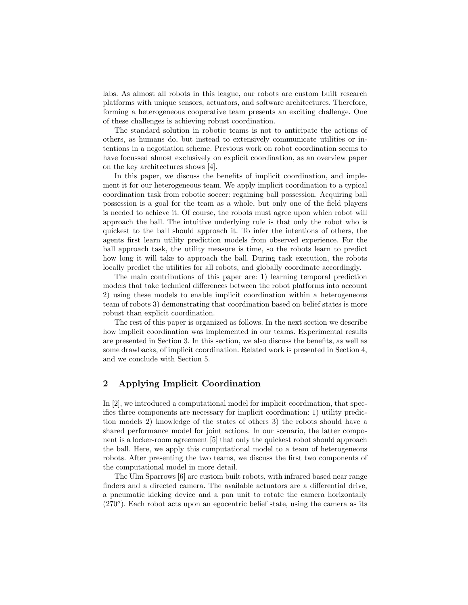labs. As almost all robots in this league, our robots are custom built research platforms with unique sensors, actuators, and software architectures. Therefore, forming a heterogeneous cooperative team presents an exciting challenge. One of these challenges is achieving robust coordination.

The standard solution in robotic teams is not to anticipate the actions of others, as humans do, but instead to extensively communicate utilities or intentions in a negotiation scheme. Previous work on robot coordination seems to have focussed almost exclusively on explicit coordination, as an overview paper on the key architectures shows [4].

In this paper, we discuss the benefits of implicit coordination, and implement it for our heterogeneous team. We apply implicit coordination to a typical coordination task from robotic soccer: regaining ball possession. Acquiring ball possession is a goal for the team as a whole, but only one of the field players is needed to achieve it. Of course, the robots must agree upon which robot will approach the ball. The intuitive underlying rule is that only the robot who is quickest to the ball should approach it. To infer the intentions of others, the agents first learn utility prediction models from observed experience. For the ball approach task, the utility measure is time, so the robots learn to predict how long it will take to approach the ball. During task execution, the robots locally predict the utilities for all robots, and globally coordinate accordingly.

The main contributions of this paper are: 1) learning temporal prediction models that take technical differences between the robot platforms into account 2) using these models to enable implicit coordination within a heterogeneous team of robots 3) demonstrating that coordination based on belief states is more robust than explicit coordination.

The rest of this paper is organized as follows. In the next section we describe how implicit coordination was implemented in our teams. Experimental results are presented in Section 3. In this section, we also discuss the benefits, as well as some drawbacks, of implicit coordination. Related work is presented in Section 4, and we conclude with Section 5.

# 2 Applying Implicit Coordination

In [2], we introduced a computational model for implicit coordination, that specifies three components are necessary for implicit coordination: 1) utility prediction models 2) knowledge of the states of others 3) the robots should have a shared performance model for joint actions. In our scenario, the latter component is a locker-room agreement [5] that only the quickest robot should approach the ball. Here, we apply this computational model to a team of heterogeneous robots. After presenting the two teams, we discuss the first two components of the computational model in more detail.

The Ulm Sparrows [6] are custom built robots, with infrared based near range finders and a directed camera. The available actuators are a differential drive, a pneumatic kicking device and a pan unit to rotate the camera horizontally  $(270<sup>o</sup>)$ . Each robot acts upon an egocentric belief state, using the camera as its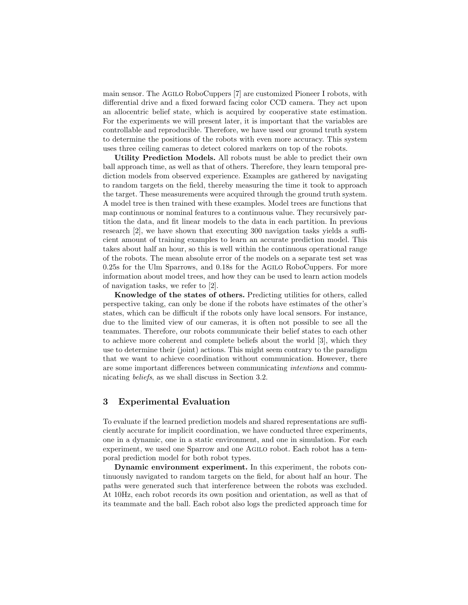main sensor. The Agilo RoboCuppers [7] are customized Pioneer I robots, with differential drive and a fixed forward facing color CCD camera. They act upon an allocentric belief state, which is acquired by cooperative state estimation. For the experiments we will present later, it is important that the variables are controllable and reproducible. Therefore, we have used our ground truth system to determine the positions of the robots with even more accuracy. This system uses three ceiling cameras to detect colored markers on top of the robots.

Utility Prediction Models. All robots must be able to predict their own ball approach time, as well as that of others. Therefore, they learn temporal prediction models from observed experience. Examples are gathered by navigating to random targets on the field, thereby measuring the time it took to approach the target. These measurements were acquired through the ground truth system. A model tree is then trained with these examples. Model trees are functions that map continuous or nominal features to a continuous value. They recursively partition the data, and fit linear models to the data in each partition. In previous research [2], we have shown that executing 300 navigation tasks yields a sufficient amount of training examples to learn an accurate prediction model. This takes about half an hour, so this is well within the continuous operational range of the robots. The mean absolute error of the models on a separate test set was 0.25s for the Ulm Sparrows, and 0.18s for the Agilo RoboCuppers. For more information about model trees, and how they can be used to learn action models of navigation tasks, we refer to [2].

Knowledge of the states of others. Predicting utilities for others, called perspective taking, can only be done if the robots have estimates of the other's states, which can be difficult if the robots only have local sensors. For instance, due to the limited view of our cameras, it is often not possible to see all the teammates. Therefore, our robots communicate their belief states to each other to achieve more coherent and complete beliefs about the world [3], which they use to determine their (joint) actions. This might seem contrary to the paradigm that we want to achieve coordination without communication. However, there are some important differences between communicating intentions and communicating beliefs, as we shall discuss in Section 3.2.

# 3 Experimental Evaluation

To evaluate if the learned prediction models and shared representations are sufficiently accurate for implicit coordination, we have conducted three experiments, one in a dynamic, one in a static environment, and one in simulation. For each experiment, we used one Sparrow and one Agilo robot. Each robot has a temporal prediction model for both robot types.

Dynamic environment experiment. In this experiment, the robots continuously navigated to random targets on the field, for about half an hour. The paths were generated such that interference between the robots was excluded. At 10Hz, each robot records its own position and orientation, as well as that of its teammate and the ball. Each robot also logs the predicted approach time for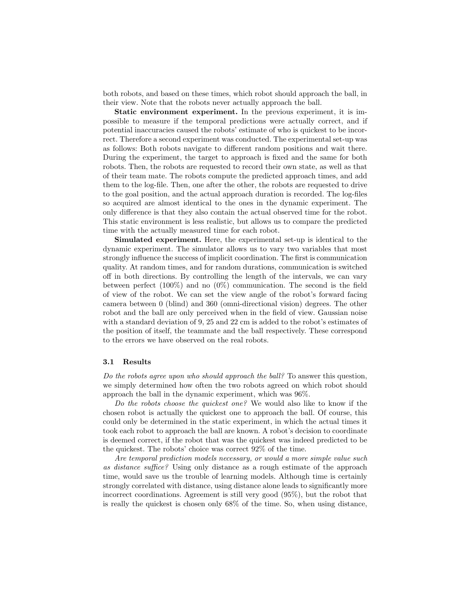both robots, and based on these times, which robot should approach the ball, in their view. Note that the robots never actually approach the ball.

Static environment experiment. In the previous experiment, it is impossible to measure if the temporal predictions were actually correct, and if potential inaccuracies caused the robots' estimate of who is quickest to be incorrect. Therefore a second experiment was conducted. The experimental set-up was as follows: Both robots navigate to different random positions and wait there. During the experiment, the target to approach is fixed and the same for both robots. Then, the robots are requested to record their own state, as well as that of their team mate. The robots compute the predicted approach times, and add them to the log-file. Then, one after the other, the robots are requested to drive to the goal position, and the actual approach duration is recorded. The log-files so acquired are almost identical to the ones in the dynamic experiment. The only difference is that they also contain the actual observed time for the robot. This static environment is less realistic, but allows us to compare the predicted time with the actually measured time for each robot.

Simulated experiment. Here, the experimental set-up is identical to the dynamic experiment. The simulator allows us to vary two variables that most strongly influence the success of implicit coordination. The first is communication quality. At random times, and for random durations, communication is switched off in both directions. By controlling the length of the intervals, we can vary between perfect (100%) and no (0%) communication. The second is the field of view of the robot. We can set the view angle of the robot's forward facing camera between 0 (blind) and 360 (omni-directional vision) degrees. The other robot and the ball are only perceived when in the field of view. Gaussian noise with a standard deviation of 9, 25 and 22 cm is added to the robot's estimates of the position of itself, the teammate and the ball respectively. These correspond to the errors we have observed on the real robots.

#### 3.1 Results

Do the robots agree upon who should approach the ball? To answer this question, we simply determined how often the two robots agreed on which robot should approach the ball in the dynamic experiment, which was 96%.

Do the robots choose the quickest one? We would also like to know if the chosen robot is actually the quickest one to approach the ball. Of course, this could only be determined in the static experiment, in which the actual times it took each robot to approach the ball are known. A robot's decision to coordinate is deemed correct, if the robot that was the quickest was indeed predicted to be the quickest. The robots' choice was correct 92% of the time.

Are temporal prediction models necessary, or would a more simple value such as distance suffice? Using only distance as a rough estimate of the approach time, would save us the trouble of learning models. Although time is certainly strongly correlated with distance, using distance alone leads to significantly more incorrect coordinations. Agreement is still very good (95%), but the robot that is really the quickest is chosen only 68% of the time. So, when using distance,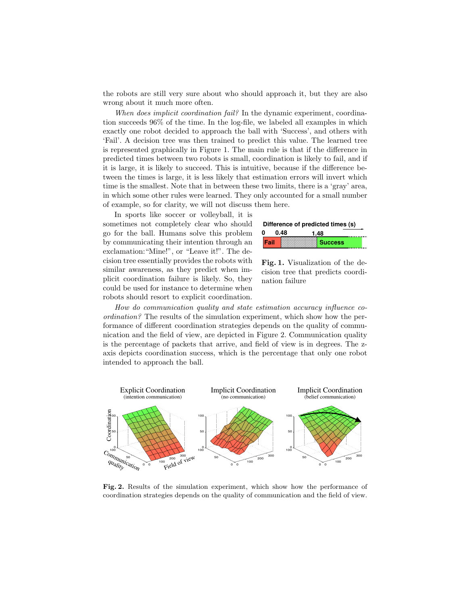the robots are still very sure about who should approach it, but they are also wrong about it much more often.

When does implicit coordination fail? In the dynamic experiment, coordination succeeds 96% of the time. In the log-file, we labeled all examples in which exactly one robot decided to approach the ball with 'Success', and others with 'Fail'. A decision tree was then trained to predict this value. The learned tree is represented graphically in Figure 1. The main rule is that if the difference in predicted times between two robots is small, coordination is likely to fail, and if it is large, it is likely to succeed. This is intuitive, because if the difference between the times is large, it is less likely that estimation errors will invert which time is the smallest. Note that in between these two limits, there is a 'gray' area, in which some other rules were learned. They only accounted for a small number of example, so for clarity, we will not discuss them here.

In sports like soccer or volleyball, it is sometimes not completely clear who should go for the ball. Humans solve this problem by communicating their intention through an exclamation:"Mine!", or "Leave it!". The decision tree essentially provides the robots with similar awareness, as they predict when implicit coordination failure is likely. So, they could be used for instance to determine when robots should resort to explicit coordination.



Fig. 1. Visualization of the decision tree that predicts coordination failure

How do communication quality and state estimation accuracy influence coordination? The results of the simulation experiment, which show how the performance of different coordination strategies depends on the quality of communication and the field of view, are depicted in Figure 2. Communication quality is the percentage of packets that arrive, and field of view is in degrees. The zaxis depicts coordination success, which is the percentage that only one robot intended to approach the ball.



Fig. 2. Results of the simulation experiment, which show how the performance of coordination strategies depends on the quality of communication and the field of view.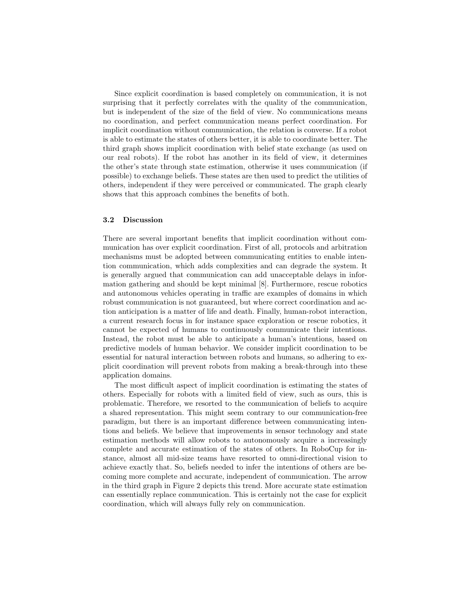Since explicit coordination is based completely on communication, it is not surprising that it perfectly correlates with the quality of the communication, but is independent of the size of the field of view. No communications means no coordination, and perfect communication means perfect coordination. For implicit coordination without communication, the relation is converse. If a robot is able to estimate the states of others better, it is able to coordinate better. The third graph shows implicit coordination with belief state exchange (as used on our real robots). If the robot has another in its field of view, it determines the other's state through state estimation, otherwise it uses communication (if possible) to exchange beliefs. These states are then used to predict the utilities of others, independent if they were perceived or communicated. The graph clearly shows that this approach combines the benefits of both.

### 3.2 Discussion

There are several important benefits that implicit coordination without communication has over explicit coordination. First of all, protocols and arbitration mechanisms must be adopted between communicating entities to enable intention communication, which adds complexities and can degrade the system. It is generally argued that communication can add unacceptable delays in information gathering and should be kept minimal [8]. Furthermore, rescue robotics and autonomous vehicles operating in traffic are examples of domains in which robust communication is not guaranteed, but where correct coordination and action anticipation is a matter of life and death. Finally, human-robot interaction, a current research focus in for instance space exploration or rescue robotics, it cannot be expected of humans to continuously communicate their intentions. Instead, the robot must be able to anticipate a human's intentions, based on predictive models of human behavior. We consider implicit coordination to be essential for natural interaction between robots and humans, so adhering to explicit coordination will prevent robots from making a break-through into these application domains.

The most difficult aspect of implicit coordination is estimating the states of others. Especially for robots with a limited field of view, such as ours, this is problematic. Therefore, we resorted to the communication of beliefs to acquire a shared representation. This might seem contrary to our communication-free paradigm, but there is an important difference between communicating intentions and beliefs. We believe that improvements in sensor technology and state estimation methods will allow robots to autonomously acquire a increasingly complete and accurate estimation of the states of others. In RoboCup for instance, almost all mid-size teams have resorted to omni-directional vision to achieve exactly that. So, beliefs needed to infer the intentions of others are becoming more complete and accurate, independent of communication. The arrow in the third graph in Figure 2 depicts this trend. More accurate state estimation can essentially replace communication. This is certainly not the case for explicit coordination, which will always fully rely on communication.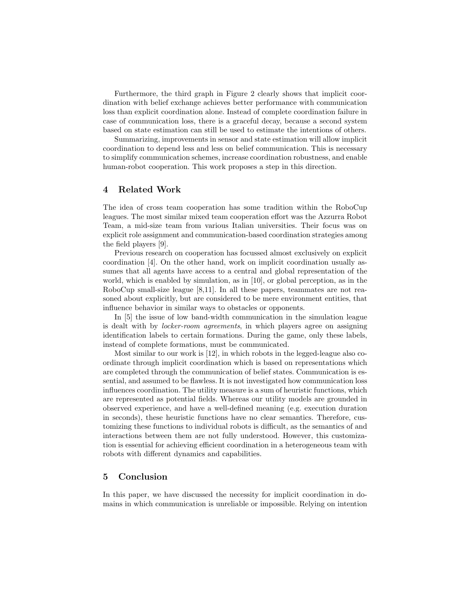Furthermore, the third graph in Figure 2 clearly shows that implicit coordination with belief exchange achieves better performance with communication loss than explicit coordination alone. Instead of complete coordination failure in case of communication loss, there is a graceful decay, because a second system based on state estimation can still be used to estimate the intentions of others.

Summarizing, improvements in sensor and state estimation will allow implicit coordination to depend less and less on belief communication. This is necessary to simplify communication schemes, increase coordination robustness, and enable human-robot cooperation. This work proposes a step in this direction.

### 4 Related Work

The idea of cross team cooperation has some tradition within the RoboCup leagues. The most similar mixed team cooperation effort was the Azzurra Robot Team, a mid-size team from various Italian universities. Their focus was on explicit role assignment and communication-based coordination strategies among the field players [9].

Previous research on cooperation has focussed almost exclusively on explicit coordination [4]. On the other hand, work on implicit coordination usually assumes that all agents have access to a central and global representation of the world, which is enabled by simulation, as in [10], or global perception, as in the RoboCup small-size league [8,11]. In all these papers, teammates are not reasoned about explicitly, but are considered to be mere environment entities, that influence behavior in similar ways to obstacles or opponents.

In [5] the issue of low band-width communication in the simulation league is dealt with by locker-room agreements, in which players agree on assigning identification labels to certain formations. During the game, only these labels, instead of complete formations, must be communicated.

Most similar to our work is [12], in which robots in the legged-league also coordinate through implicit coordination which is based on representations which are completed through the communication of belief states. Communication is essential, and assumed to be flawless. It is not investigated how communication loss influences coordination. The utility measure is a sum of heuristic functions, which are represented as potential fields. Whereas our utility models are grounded in observed experience, and have a well-defined meaning (e.g. execution duration in seconds), these heuristic functions have no clear semantics. Therefore, customizing these functions to individual robots is difficult, as the semantics of and interactions between them are not fully understood. However, this customization is essential for achieving efficient coordination in a heterogeneous team with robots with different dynamics and capabilities.

# 5 Conclusion

In this paper, we have discussed the necessity for implicit coordination in domains in which communication is unreliable or impossible. Relying on intention